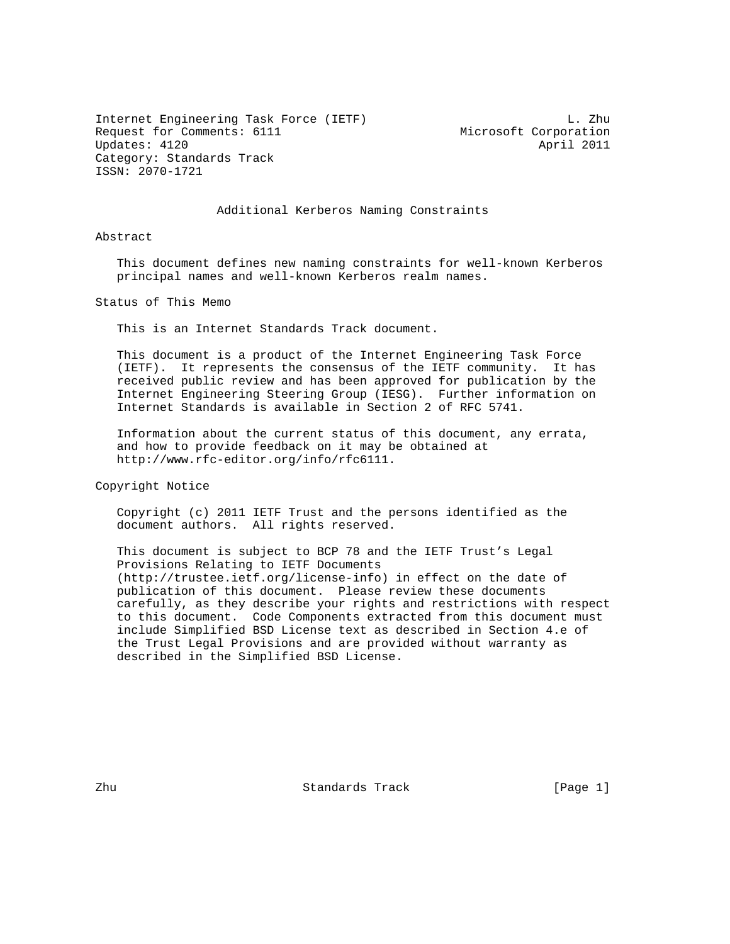Internet Engineering Task Force (IETF) L. Zhu Request for Comments: 6111 Microsoft Corporation Updates: 4120 April 2011 Category: Standards Track ISSN: 2070-1721

#### Additional Kerberos Naming Constraints

Abstract

 This document defines new naming constraints for well-known Kerberos principal names and well-known Kerberos realm names.

Status of This Memo

This is an Internet Standards Track document.

 This document is a product of the Internet Engineering Task Force (IETF). It represents the consensus of the IETF community. It has received public review and has been approved for publication by the Internet Engineering Steering Group (IESG). Further information on Internet Standards is available in Section 2 of RFC 5741.

 Information about the current status of this document, any errata, and how to provide feedback on it may be obtained at http://www.rfc-editor.org/info/rfc6111.

Copyright Notice

 Copyright (c) 2011 IETF Trust and the persons identified as the document authors. All rights reserved.

 This document is subject to BCP 78 and the IETF Trust's Legal Provisions Relating to IETF Documents (http://trustee.ietf.org/license-info) in effect on the date of publication of this document. Please review these documents carefully, as they describe your rights and restrictions with respect to this document. Code Components extracted from this document must include Simplified BSD License text as described in Section 4.e of the Trust Legal Provisions and are provided without warranty as described in the Simplified BSD License.

Zhu Standards Track [Page 1]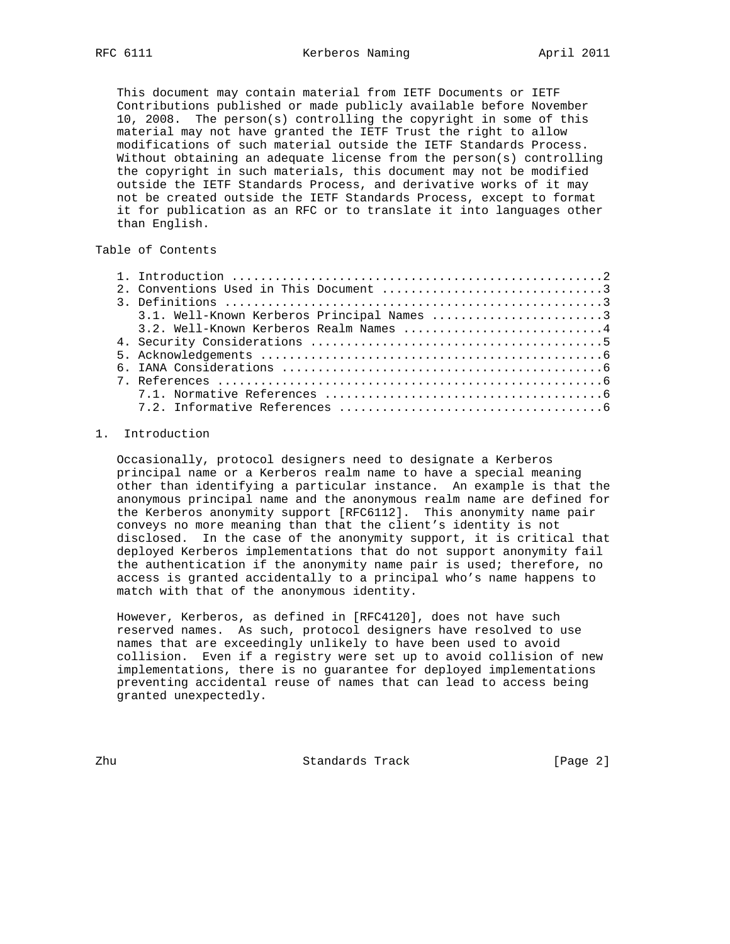This document may contain material from IETF Documents or IETF Contributions published or made publicly available before November 10, 2008. The person(s) controlling the copyright in some of this material may not have granted the IETF Trust the right to allow modifications of such material outside the IETF Standards Process. Without obtaining an adequate license from the person(s) controlling the copyright in such materials, this document may not be modified outside the IETF Standards Process, and derivative works of it may not be created outside the IETF Standards Process, except to format it for publication as an RFC or to translate it into languages other than English.

# Table of Contents

| 3.1. Well-Known Kerberos Principal Names 3 |  |
|--------------------------------------------|--|
| $3.2.$ Well-Known Kerberos Realm Names 4   |  |
|                                            |  |
|                                            |  |
|                                            |  |
|                                            |  |
|                                            |  |
|                                            |  |

## 1. Introduction

 Occasionally, protocol designers need to designate a Kerberos principal name or a Kerberos realm name to have a special meaning other than identifying a particular instance. An example is that the anonymous principal name and the anonymous realm name are defined for the Kerberos anonymity support [RFC6112]. This anonymity name pair conveys no more meaning than that the client's identity is not disclosed. In the case of the anonymity support, it is critical that deployed Kerberos implementations that do not support anonymity fail the authentication if the anonymity name pair is used; therefore, no access is granted accidentally to a principal who's name happens to match with that of the anonymous identity.

 However, Kerberos, as defined in [RFC4120], does not have such reserved names. As such, protocol designers have resolved to use names that are exceedingly unlikely to have been used to avoid collision. Even if a registry were set up to avoid collision of new implementations, there is no guarantee for deployed implementations preventing accidental reuse of names that can lead to access being granted unexpectedly.

Zhu Standards Track [Page 2]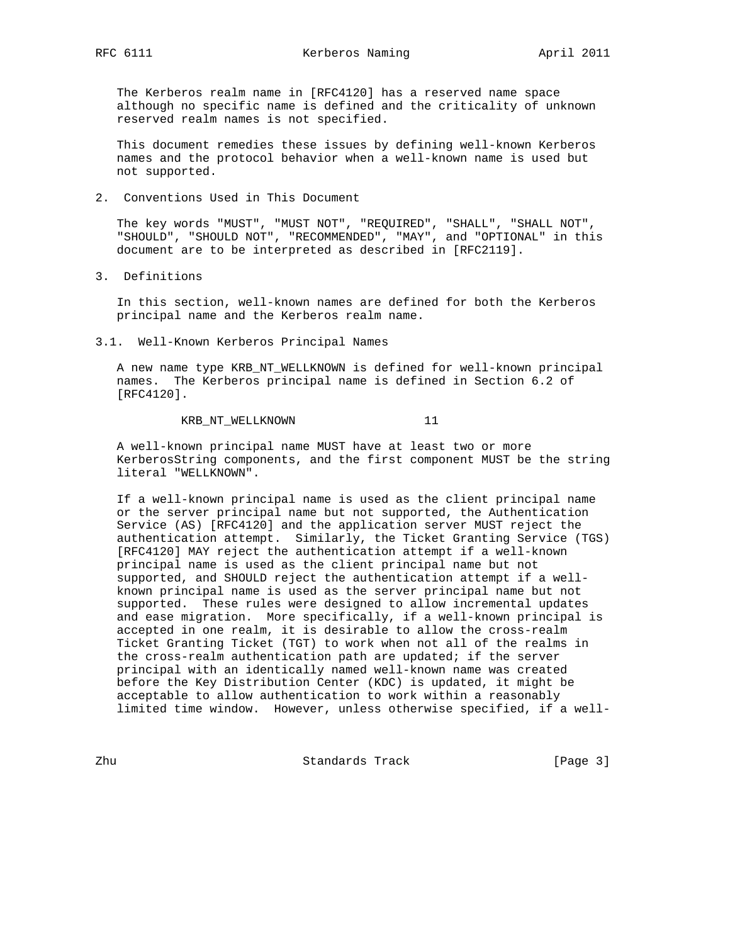The Kerberos realm name in [RFC4120] has a reserved name space although no specific name is defined and the criticality of unknown reserved realm names is not specified.

 This document remedies these issues by defining well-known Kerberos names and the protocol behavior when a well-known name is used but not supported.

2. Conventions Used in This Document

 The key words "MUST", "MUST NOT", "REQUIRED", "SHALL", "SHALL NOT", "SHOULD", "SHOULD NOT", "RECOMMENDED", "MAY", and "OPTIONAL" in this document are to be interpreted as described in [RFC2119].

3. Definitions

 In this section, well-known names are defined for both the Kerberos principal name and the Kerberos realm name.

3.1. Well-Known Kerberos Principal Names

 A new name type KRB\_NT\_WELLKNOWN is defined for well-known principal names. The Kerberos principal name is defined in Section 6.2 of [RFC4120].

### KRB\_NT\_WELLKNOWN 11

 A well-known principal name MUST have at least two or more KerberosString components, and the first component MUST be the string literal "WELLKNOWN".

 If a well-known principal name is used as the client principal name or the server principal name but not supported, the Authentication Service (AS) [RFC4120] and the application server MUST reject the authentication attempt. Similarly, the Ticket Granting Service (TGS) [RFC4120] MAY reject the authentication attempt if a well-known principal name is used as the client principal name but not supported, and SHOULD reject the authentication attempt if a well known principal name is used as the server principal name but not supported. These rules were designed to allow incremental updates and ease migration. More specifically, if a well-known principal is accepted in one realm, it is desirable to allow the cross-realm Ticket Granting Ticket (TGT) to work when not all of the realms in the cross-realm authentication path are updated; if the server principal with an identically named well-known name was created before the Key Distribution Center (KDC) is updated, it might be acceptable to allow authentication to work within a reasonably limited time window. However, unless otherwise specified, if a well-

zhu  $\qquad \qquad$  Standards Track  $\qquad \qquad$  [Page 3]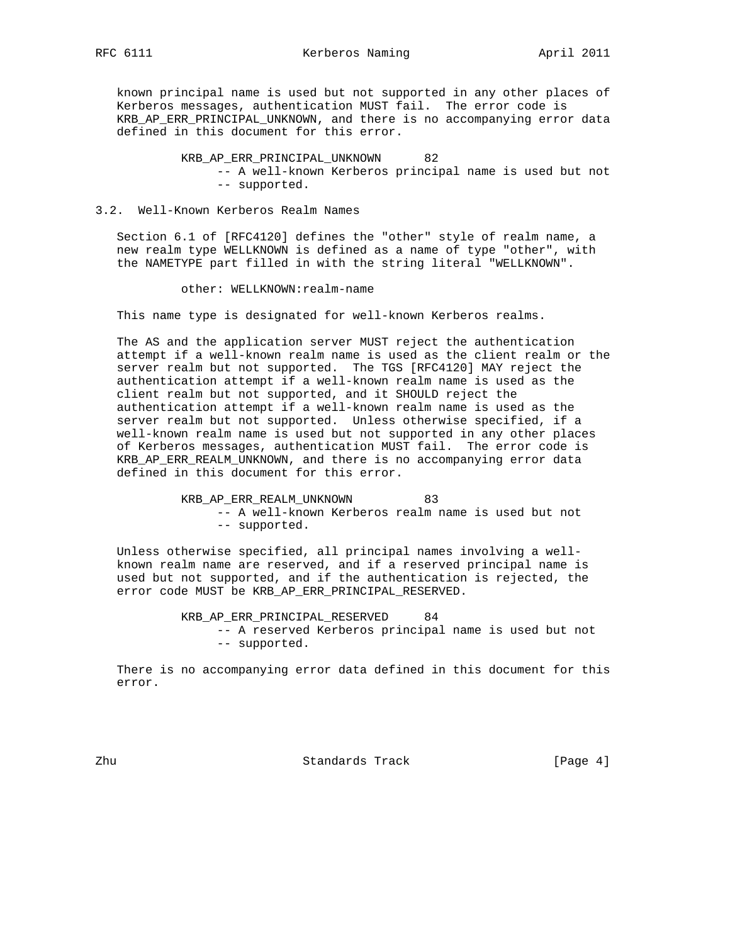known principal name is used but not supported in any other places of Kerberos messages, authentication MUST fail. The error code is KRB\_AP\_ERR\_PRINCIPAL\_UNKNOWN, and there is no accompanying error data defined in this document for this error.

> KRB\_AP\_ERR\_PRINCIPAL\_UNKNOWN 82 -- A well-known Kerberos principal name is used but not -- supported.

#### 3.2. Well-Known Kerberos Realm Names

 Section 6.1 of [RFC4120] defines the "other" style of realm name, a new realm type WELLKNOWN is defined as a name of type "other", with the NAMETYPE part filled in with the string literal "WELLKNOWN".

other: WELLKNOWN:realm-name

This name type is designated for well-known Kerberos realms.

 The AS and the application server MUST reject the authentication attempt if a well-known realm name is used as the client realm or the server realm but not supported. The TGS [RFC4120] MAY reject the authentication attempt if a well-known realm name is used as the client realm but not supported, and it SHOULD reject the authentication attempt if a well-known realm name is used as the server realm but not supported. Unless otherwise specified, if a well-known realm name is used but not supported in any other places of Kerberos messages, authentication MUST fail. The error code is KRB\_AP\_ERR\_REALM\_UNKNOWN, and there is no accompanying error data defined in this document for this error.

> KRB\_AP\_ERR\_REALM\_UNKNOWN 83 -- A well-known Kerberos realm name is used but not -- supported.

 Unless otherwise specified, all principal names involving a well known realm name are reserved, and if a reserved principal name is used but not supported, and if the authentication is rejected, the error code MUST be KRB\_AP\_ERR\_PRINCIPAL\_RESERVED.

> KRB\_AP\_ERR\_PRINCIPAL\_RESERVED 84 -- A reserved Kerberos principal name is used but not -- supported.

 There is no accompanying error data defined in this document for this error.

Zhu Standards Track [Page 4]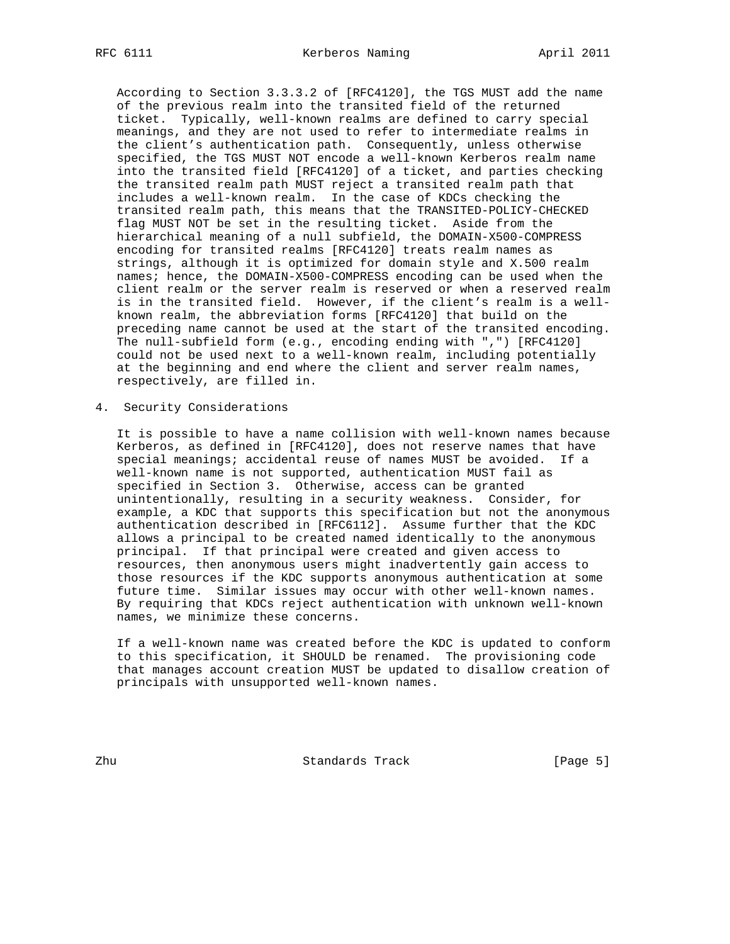According to Section 3.3.3.2 of [RFC4120], the TGS MUST add the name of the previous realm into the transited field of the returned ticket. Typically, well-known realms are defined to carry special meanings, and they are not used to refer to intermediate realms in the client's authentication path. Consequently, unless otherwise specified, the TGS MUST NOT encode a well-known Kerberos realm name into the transited field [RFC4120] of a ticket, and parties checking the transited realm path MUST reject a transited realm path that includes a well-known realm. In the case of KDCs checking the transited realm path, this means that the TRANSITED-POLICY-CHECKED flag MUST NOT be set in the resulting ticket. Aside from the hierarchical meaning of a null subfield, the DOMAIN-X500-COMPRESS encoding for transited realms [RFC4120] treats realm names as strings, although it is optimized for domain style and X.500 realm names; hence, the DOMAIN-X500-COMPRESS encoding can be used when the client realm or the server realm is reserved or when a reserved realm is in the transited field. However, if the client's realm is a well known realm, the abbreviation forms [RFC4120] that build on the preceding name cannot be used at the start of the transited encoding. The null-subfield form (e.g., encoding ending with ",") [RFC4120] could not be used next to a well-known realm, including potentially at the beginning and end where the client and server realm names, respectively, are filled in.

4. Security Considerations

 It is possible to have a name collision with well-known names because Kerberos, as defined in [RFC4120], does not reserve names that have special meanings; accidental reuse of names MUST be avoided. If a well-known name is not supported, authentication MUST fail as specified in Section 3. Otherwise, access can be granted unintentionally, resulting in a security weakness. Consider, for example, a KDC that supports this specification but not the anonymous authentication described in [RFC6112]. Assume further that the KDC allows a principal to be created named identically to the anonymous principal. If that principal were created and given access to resources, then anonymous users might inadvertently gain access to those resources if the KDC supports anonymous authentication at some future time. Similar issues may occur with other well-known names. By requiring that KDCs reject authentication with unknown well-known names, we minimize these concerns.

 If a well-known name was created before the KDC is updated to conform to this specification, it SHOULD be renamed. The provisioning code that manages account creation MUST be updated to disallow creation of principals with unsupported well-known names.

zhu  $\qquad \qquad$  Standards Track  $\qquad \qquad$  [Page 5]